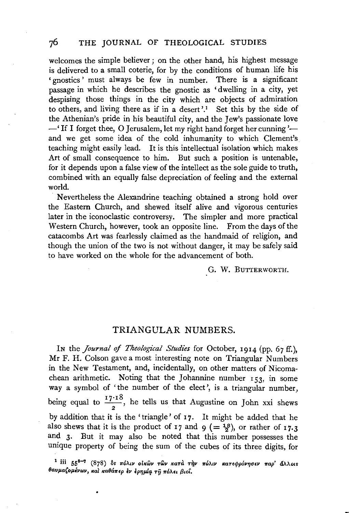welcomes the simple believer; on the other hand, his highest message is delivered to a small coterie, for by the conditions of human life his 'gnostics' must always be few in number. There is a significant passage in which he describes the gnostic as 'dwelling in a city, yet despising those things in the city which are objects of admiration to others, and living there as if in a desert'.<sup>1</sup> Set this by the side of the Athenian's pride in his beautiful city, and the Jew's passionate love  $-$ <sup>'</sup> If I forget thee, O Jerusalem, let my right hand forget her cunning  $$ and we get some idea of the cold inhumanity to which Clement's teaching might easily lead. It is this intellectual isolation which makes Art of small consequence to him. But such a position is untenable, for it depends upon a false view of the intellect as the sole guide to truth, combined with an equally false depreciation of feeling and the external world.

Nevertheless the Alexandrine teaching obtained a strong hold over the Eastern Church, and shewed itself alive and vigorous centuries later in the iconoclastic controversy. The simpler and more practical Western Church, however, took an opposite line. From the days of the catacombs Art was fearlessly claimed as the handmaid of religion, and though the union of the two is not without danger, it may be safely said to have worked on the whole for the advancement of both.

G. W. BUTTERWORTH.

## TRIANGULAR NUMBERS.

In the *Journal of Theological Studies* for October, 1914 (pp. 67 ff.), Mr F. H. Colson gave a most interesting note on Triangular Numbers in the New Testament, and, incidentally, on other matters of Nicomachean arithmetic. Noting that the Johannine number  $153$ , in some way a symbol of 'the number of the elect', is a triangular number, being equal to  $\frac{17 \cdot 18}{2}$ , he tells us that Augustine on John xxi shews by addition that it is the ' triangle' of 17. It might be added that he also shews that it is the product of 17 and 9 (=  $\frac{18}{2}$ ), or rather of 17.3 and 3. But it may also be noted that this number possesses the unique property of being the sum of the cubes of its three digits, for

<sup>1</sup> iii 55<sup>5—7</sup> (878) δs πόλιν οἰκῶν τῶν κατὰ τὴν πόλιν κατεφρόνησεν παρ' ἄλλοιs θαυμαζομένων, και καθάπερ εν ερημία τη πόλει βιοί.